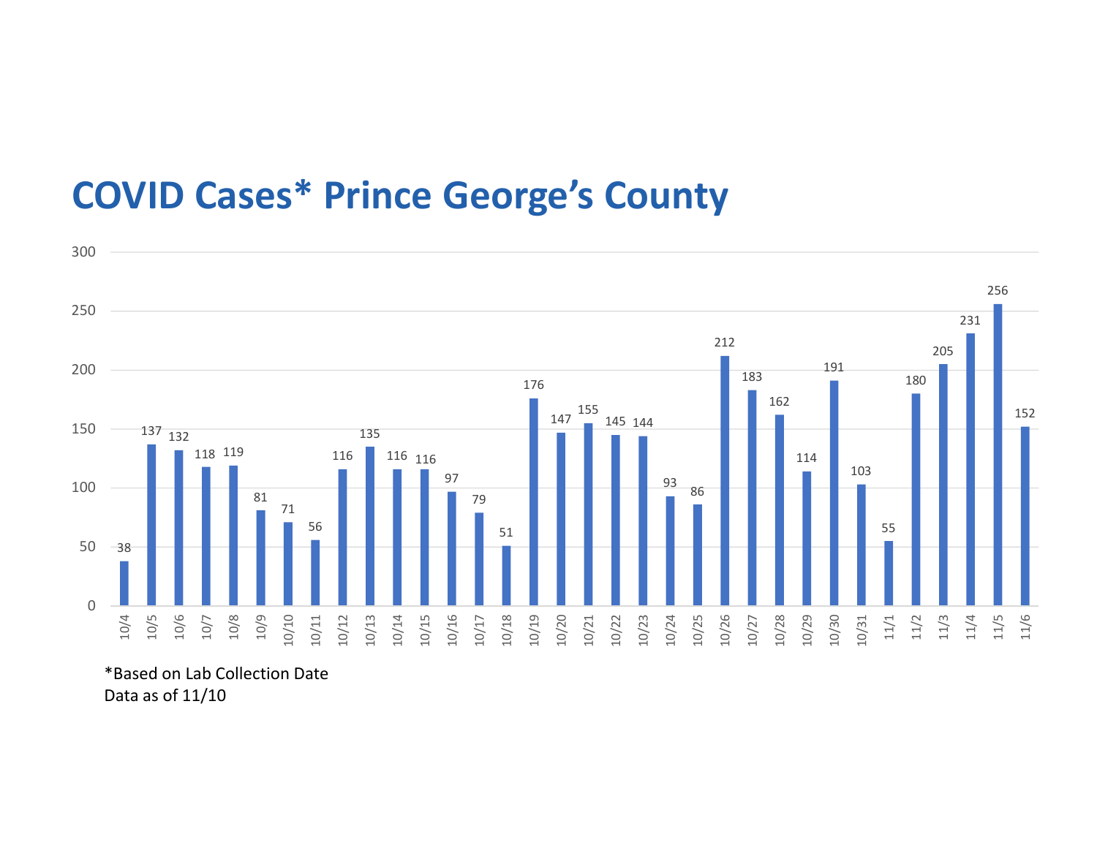## COVID Cases\* Prince George's County



\*Based on Lab Collection Date Data as of 11/10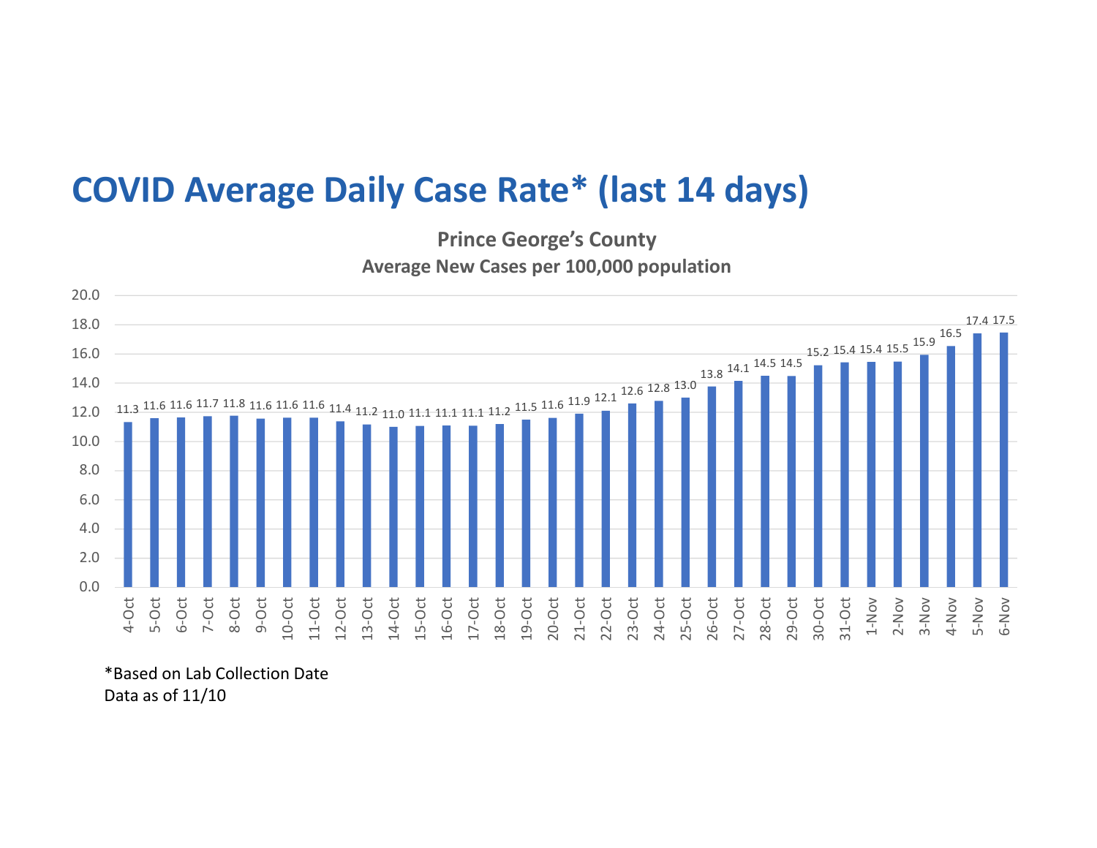## COVID Average Daily Case Rate\* (last 14 days)

Prince George's County Average New Cases per 100,000 population



\*Based on Lab Collection Date Data as of 11/10